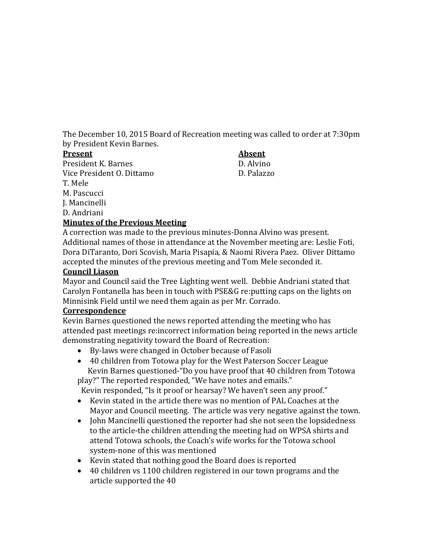The December 10, 2015 Board of Recreation meeting was called to order at 7:30pm by President Kevin Barnes.

#### **Present Absent**

J. Mancinelli D. Andriani

President K. Barnes D. Alvino Vice President O. Dittamo D. Palazzo T. Mele M. Pascucci

## **Minutes of the Previous Meeting**

A correction was made to the previous minutes-Donna Alvino was present. Additional names of those in attendance at the November meeting are: Leslie Foti, Dora DiTaranto, Dori Scovish, Maria Pisapia, & Naomi Rivera Paez. Oliver Dittamo accepted the minutes of the previous meeting and Tom Mele seconded it.

#### **Council Liason**

Mayor and Council said the Tree Lighting went well. Debbie Andriani stated that Carolyn Fontanella has been in touch with PSE&G re:putting caps on the lights on Minnisink Field until we need them again as per Mr. Corrado.

#### **Correspondence**

Kevin Barnes questioned the news reported attending the meeting who has attended past meetings re:incorrect information being reported in the news article demonstrating negativity toward the Board of Recreation:

- By-laws were changed in October because of Fasoli
- 40 children from Totowa play for the West Paterson Soccer League Kevin Barnes questioned-"Do you have proof that 40 children from Totowa play?" The reported responded, "We have notes and emails."

Kevin responded, "Is it proof or hearsay? We haven't seen any proof."

- Kevin stated in the article there was no mention of PAL Coaches at the Mayor and Council meeting. The article was very negative against the town.
- John Mancinelli questioned the reporter had she not seen the lopsidedness to the article-the children attending the meeting had on WPSA shirts and attend Totowa schools, the Coach's wife works for the Totowa school system-none of this was mentioned
- Kevin stated that nothing good the Board does is reported
- 40 children vs 1100 children registered in our town programs and the article supported the 40